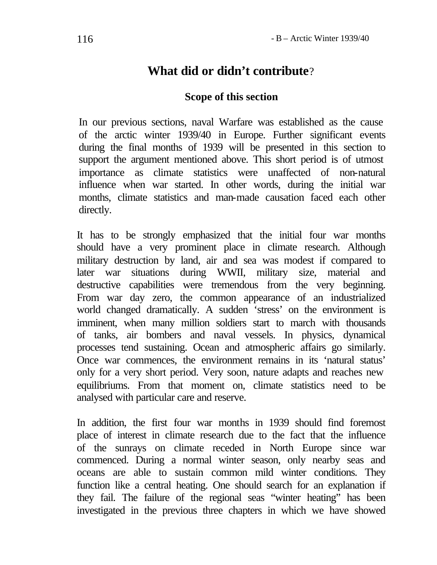# **What did or didn't contribute**?

### **Scope of this section**

In our previous sections, naval Warfare was established as the cause of the arctic winter 1939/40 in Europe. Further significant events during the final months of 1939 will be presented in this section to support the argument mentioned above. This short period is of utmost importance as climate statistics were unaffected of non-natural influence when war started. In other words, during the initial war months, climate statistics and man-made causation faced each other directly.

It has to be strongly emphasized that the initial four war months should have a very prominent place in climate research. Although military destruction by land, air and sea was modest if compared to later war situations during WWII, military size, material and destructive capabilities were tremendous from the very beginning. From war day zero, the common appearance of an industrialized world changed dramatically. A sudden 'stress' on the environment is imminent, when many million soldiers start to march with thousands of tanks, air bombers and naval vessels. In physics, dynamical processes tend sustaining. Ocean and atmospheric affairs go similarly. Once war commences, the environment remains in its 'natural status' only for a very short period. Very soon, nature adapts and reaches new equilibriums. From that moment on, climate statistics need to be analysed with particular care and reserve.

In addition, the first four war months in 1939 should find foremost place of interest in climate research due to the fact that the influence of the sunrays on climate receded in North Europe since war commenced. During a normal winter season, only nearby seas and oceans are able to sustain common mild winter conditions. They function like a central heating. One should search for an explanation if they fail. The failure of the regional seas "winter heating" has been investigated in the previous three chapters in which we have showed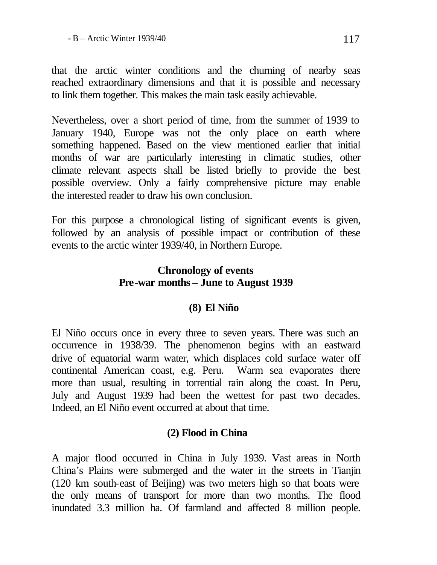that the arctic winter conditions and the churning of nearby seas reached extraordinary dimensions and that it is possible and necessary to link them together. This makes the main task easily achievable.

Nevertheless, over a short period of time, from the summer of 1939 to January 1940, Europe was not the only place on earth where something happened. Based on the view mentioned earlier that initial months of war are particularly interesting in climatic studies, other climate relevant aspects shall be listed briefly to provide the best possible overview. Only a fairly comprehensive picture may enable the interested reader to draw his own conclusion.

For this purpose a chronological listing of significant events is given, followed by an analysis of possible impact or contribution of these events to the arctic winter 1939/40, in Northern Europe.

### **Chronology of events Pre-war months – June to August 1939**

### **(8) El Niño**

El Niño occurs once in every three to seven years. There was such an occurrence in 1938/39. The phenomenon begins with an eastward drive of equatorial warm water, which displaces cold surface water off continental American coast, e.g. Peru. Warm sea evaporates there more than usual, resulting in torrential rain along the coast. In Peru, July and August 1939 had been the wettest for past two decades. Indeed, an El Niño event occurred at about that time.

# **(2) Flood in China**

A major flood occurred in China in July 1939. Vast areas in North China's Plains were submerged and the water in the streets in Tianjin (120 km south-east of Beijing) was two meters high so that boats were the only means of transport for more than two months. The flood inundated 3.3 million ha. Of farmland and affected 8 million people.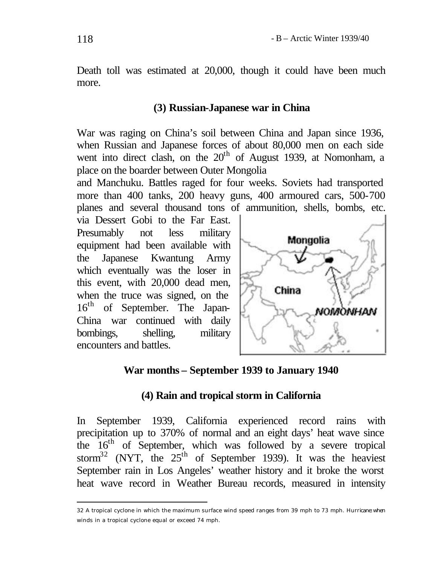Death toll was estimated at 20,000, though it could have been much more.

#### **(3) Russian-Japanese war in China**

War was raging on China's soil between China and Japan since 1936, when Russian and Japanese forces of about 80,000 men on each side went into direct clash, on the  $20<sup>th</sup>$  of August 1939, at Nomonham, a place on the boarder between Outer Mongolia

and Manchuku. Battles raged for four weeks. Soviets had transported more than 400 tanks, 200 heavy guns, 400 armoured cars, 500-700 planes and several thousand tons of ammunition, shells, bombs, etc.

via Dessert Gobi to the Far East. Presumably not less military equipment had been available with the Japanese Kwantung Army which eventually was the loser in this event, with 20,000 dead men, when the truce was signed, on the 16<sup>th</sup> of September. The Japan-China war continued with daily bombings, shelling, military encounters and battles.



#### **War months – September 1939 to January 1940**

#### **(4) Rain and tropical storm in California**

In September 1939, California experienced record rains with precipitation up to 370% of normal and an eight days' heat wave since the 16<sup>th</sup> of September, which was followed by a severe tropical storm<sup>32</sup> (NYT, the  $25<sup>th</sup>$  of September 1939). It was the heaviest September rain in Los Angeles' weather history and it broke the worst heat wave record in Weather Bureau records, measured in intensity

<sup>32</sup> A tropical cyclone in which the maximum surface wind speed ranges from 39 mph to 73 mph. Hurricane: when winds in a tropical cyclone equal or exceed 74 mph.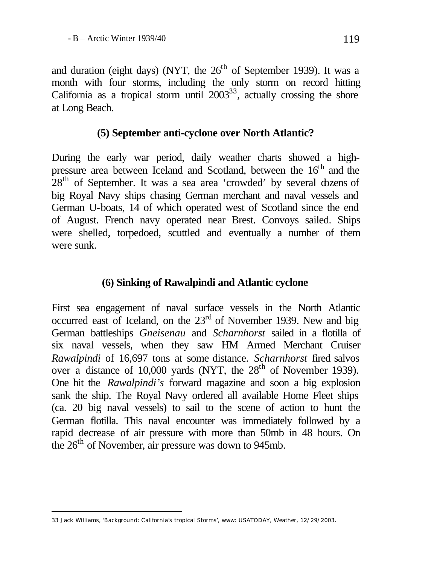and duration (eight days) (NYT, the  $26<sup>th</sup>$  of September 1939). It was a month with four storms, including the only storm on record hitting California as a tropical storm until  $2003^{33}$ , actually crossing the shore at Long Beach.

### **(5) September anti-cyclone over North Atlantic?**

During the early war period, daily weather charts showed a highpressure area between Iceland and Scotland, between the 16<sup>th</sup> and the  $28<sup>th</sup>$  of September. It was a sea area 'crowded' by several dozens of big Royal Navy ships chasing German merchant and naval vessels and German U-boats, 14 of which operated west of Scotland since the end of August. French navy operated near Brest. Convoys sailed. Ships were shelled, torpedoed, scuttled and eventually a number of them were sunk.

#### **(6) Sinking of Rawalpindi and Atlantic cyclone**

First sea engagement of naval surface vessels in the North Atlantic occurred east of Iceland, on the  $23<sup>rd</sup>$  of November 1939. New and big German battleships *Gneisenau* and *Scharnhorst* sailed in a flotilla of six naval vessels, when they saw HM Armed Merchant Cruiser *Rawalpindi* of 16,697 tons at some distance. *Scharnhorst* fired salvos over a distance of 10,000 yards (NYT, the  $28<sup>th</sup>$  of November 1939). One hit the *Rawalpindi's* forward magazine and soon a big explosion sank the ship. The Royal Navy ordered all available Home Fleet ships (ca. 20 big naval vessels) to sail to the scene of action to hunt the German flotilla. This naval encounter was immediately followed by a rapid decrease of air pressure with more than 50mb in 48 hours. On the 26<sup>th</sup> of November, air pressure was down to 945mb.

<sup>33</sup> Jack Williams, 'Background: California's tropical Storms', www: USATODAY, Weather, 12/29/2003.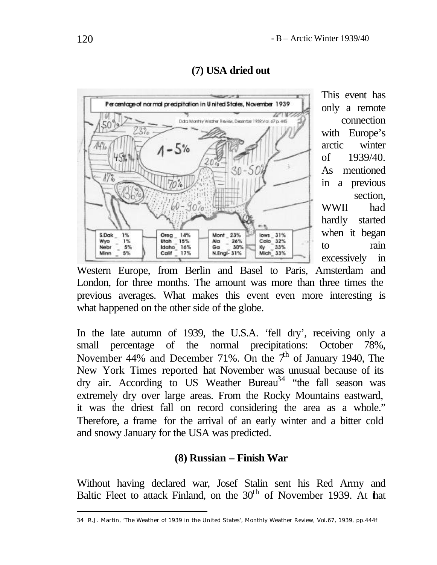



This event has only a remote connection with Europe's arctic winter of 1939/40. As mentioned in a previous section, WWII had hardly started when it began to rain excessively in

Western Europe, from Berlin and Basel to Paris, Amsterdam and London, for three months. The amount was more than three times the previous averages. What makes this event even more interesting is what happened on the other side of the globe.

In the late autumn of 1939, the U.S.A. 'fell dry', receiving only a small percentage of the normal precipitations: October 78%, November 44% and December 71%. On the  $7<sup>th</sup>$  of January 1940, The New York Times reported that November was unusual because of its dry air. According to US Weather Bureau<sup>34</sup> "the fall season was extremely dry over large areas. From the Rocky Mountains eastward, it was the driest fall on record considering the area as a whole." Therefore, a frame for the arrival of an early winter and a bitter cold and snowy January for the USA was predicted.

### **(8) Russian – Finish War**

Without having declared war, Josef Stalin sent his Red Army and Baltic Fleet to attack Finland, on the 30<sup>th</sup> of November 1939. At hat

<sup>34</sup> R.J. Martin, 'The Weather of 1939 in the United States', Monthly Weather Review, Vol.67, 1939, pp.444f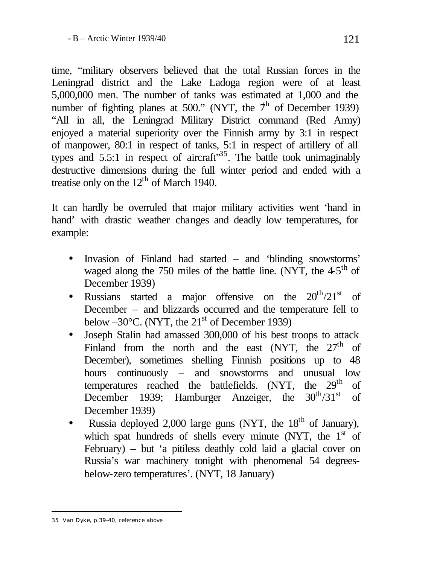time, "military observers believed that the total Russian forces in the Leningrad district and the Lake Ladoga region were of at least 5,000,000 men. The number of tanks was estimated at 1,000 and the number of fighting planes at 500." (NYT, the  $7<sup>h</sup>$  of December 1939) "All in all, the Leningrad Military District command (Red Army) enjoyed a material superiority over the Finnish army by 3:1 in respect of manpower, 80:1 in respect of tanks, 5:1 in respect of artillery of all types and  $5.5:1$  in respect of aircraft<sup>35</sup>. The battle took unimaginably destructive dimensions during the full winter period and ended with a treatise only on the  $12<sup>th</sup>$  of March 1940.

It can hardly be overruled that major military activities went 'hand in hand' with drastic weather changes and deadly low temperatures, for example:

- Invasion of Finland had started and 'blinding snowstorms' waged along the 750 miles of the battle line. (NYT, the  $4.5<sup>th</sup>$  of December 1939)
- Russians started a major offensive on the  $20^{th}/21^{st}$  of December – and blizzards occurred and the temperature fell to below  $-30^{\circ}$ C. (NYT, the 21<sup>st</sup> of December 1939)
- Joseph Stalin had amassed 300,000 of his best troops to attack Finland from the north and the east (NYT, the  $27<sup>th</sup>$  of December), sometimes shelling Finnish positions up to 48 hours continuously – and snowstorms and unusual low temperatures reached the battlefields.  $(NYT$ , the  $29<sup>th</sup>$  of December 1939; Hamburger Anzeiger, the  $30^{th}/31^{st}$  of December 1939)
- Russia deployed 2,000 large guns (NYT, the  $18<sup>th</sup>$  of January), which spat hundreds of shells every minute (NYT, the  $1<sup>st</sup>$  of February) – but 'a pitiless deathly cold laid a glacial cover on Russia's war machinery tonight with phenomenal 54 degreesbelow-zero temperatures'. (NYT, 18 January)

<sup>35</sup> Van Dyke, p.39-40, reference above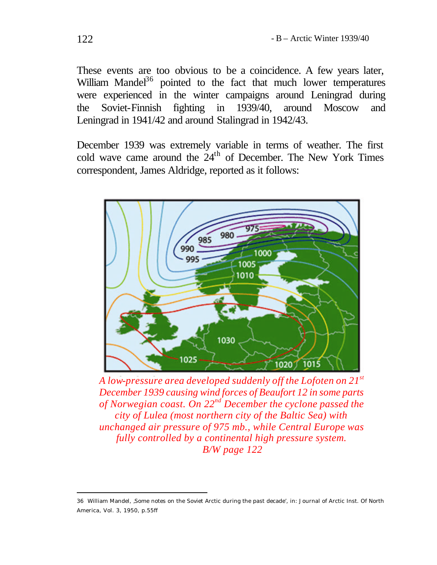These events are too obvious to be a coincidence. A few years later, William Mandel<sup>36</sup> pointed to the fact that much lower temperatures were experienced in the winter campaigns around Leningrad during the Soviet-Finnish fighting in 1939/40, around Moscow and Leningrad in 1941/42 and around Stalingrad in 1942/43.

December 1939 was extremely variable in terms of weather. The first cold wave came around the  $24<sup>th</sup>$  of December. The New York Times correspondent, James Aldridge, reported as it follows:



*A low-pressure area developed suddenly off the Lofoten on 21st December 1939 causing wind forces of Beaufort 12 in some parts of Norwegian coast. On 22nd December the cyclone passed the city of Lulea (most northern city of the Baltic Sea) with unchanged air pressure of 975 mb., while Central Europe was fully controlled by a continental high pressure system. B/W page 122*

<sup>36</sup> William Mandel, 'Some notes on the Soviet Arctic during the past decade', in: Journal of Arctic Inst. Of North America, Vol. 3, 1950, p.55ff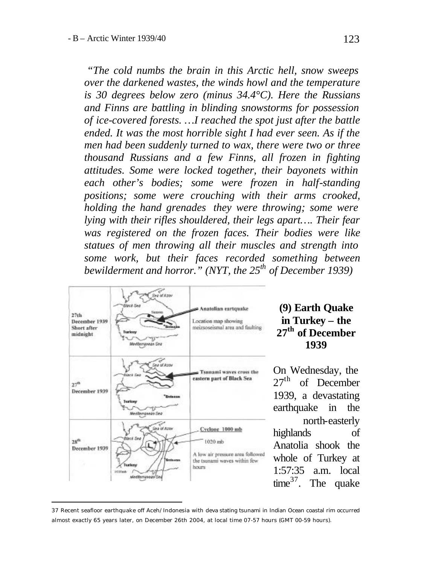*"The cold numbs the brain in this Arctic hell, snow sweeps over the darkened wastes, the winds howl and the temperature is 30 degrees below zero (minus 34.4°C). Here the Russians and Finns are battling in blinding snowstorms for possession of ice-covered forests. …I reached the spot just after the battle ended. It was the most horrible sight I had ever seen. As if the men had been suddenly turned to wax, there were two or three thousand Russians and a few Finns, all frozen in fighting attitudes. Some were locked together, their bayonets within each other's bodies; some were frozen in half-standing positions; some were crouching with their arms crooked, holding the hand grenades they were throwing; some were lying with their rifles shouldered, their legs apart…. Their fear was registered on the frozen faces. Their bodies were like statues of men throwing all their muscles and strength into some work, but their faces recorded something between bewilderment and horror." (NYT, the 25th of December 1939)* 



l

### **(9) Earth Quake in Turkey – the 27th of December 1939**

On Wednesday, the 27<sup>th</sup> of December 1939, a devastating earthquake in the north-easterly highlands of Anatolia shook the whole of Turkey at 1:57:35 a.m. local time<sup>37</sup>. The quake

<sup>37</sup> Recent seafloor earthquake off Aceh/Indonesia with deva stating tsunami in Indian Ocean coastal rim occurred almost exactly 65 years later, on December 26th 2004, at local time 07-57 hours (GMT 00-59 hours).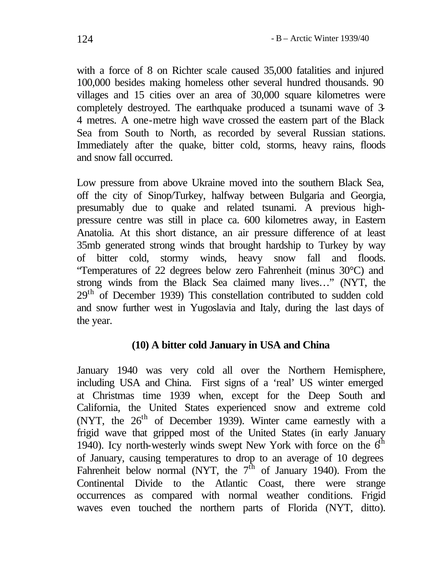with a force of 8 on Richter scale caused 35,000 fatalities and injured 100,000 besides making homeless other several hundred thousands. 90 villages and 15 cities over an area of 30,000 square kilometres were completely destroyed. The earthquake produced a tsunami wave of 3- 4 metres. A one-metre high wave crossed the eastern part of the Black Sea from South to North, as recorded by several Russian stations. Immediately after the quake, bitter cold, storms, heavy rains, floods and snow fall occurred.

Low pressure from above Ukraine moved into the southern Black Sea, off the city of Sinop/Turkey, halfway between Bulgaria and Georgia, presumably due to quake and related tsunami. A previous highpressure centre was still in place ca. 600 kilometres away, in Eastern Anatolia. At this short distance, an air pressure difference of at least 35mb generated strong winds that brought hardship to Turkey by way of bitter cold, stormy winds, heavy snow fall and floods. "Temperatures of 22 degrees below zero Fahrenheit (minus 30°C) and strong winds from the Black Sea claimed many lives…" (NYT, the 29<sup>th</sup> of December 1939) This constellation contributed to sudden cold and snow further west in Yugoslavia and Italy, during the last days of the year.

### **(10) A bitter cold January in USA and China**

January 1940 was very cold all over the Northern Hemisphere, including USA and China. First signs of a 'real' US winter emerged at Christmas time 1939 when, except for the Deep South and California, the United States experienced snow and extreme cold (NYT, the  $26<sup>th</sup>$  of December 1939). Winter came earnestly with a frigid wave that gripped most of the United States (in early January 1940). Icy north-westerly winds swept New York with force on the  $6<sup>th</sup>$ of January, causing temperatures to drop to an average of 10 degrees Fahrenheit below normal (NYT, the  $7<sup>th</sup>$  of January 1940). From the Continental Divide to the Atlantic Coast, there were strange occurrences as compared with normal weather conditions. Frigid waves even touched the northern parts of Florida (NYT, ditto).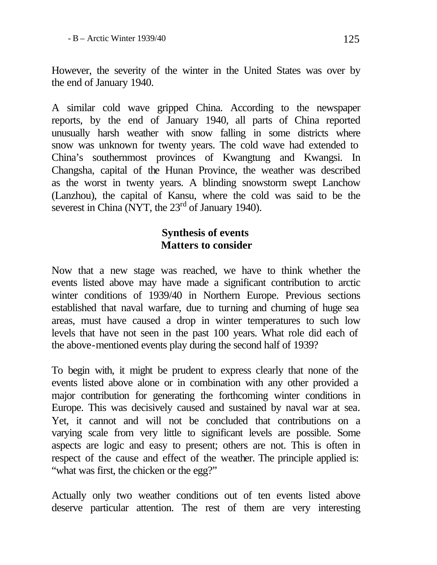However, the severity of the winter in the United States was over by the end of January 1940.

A similar cold wave gripped China. According to the newspaper reports, by the end of January 1940, all parts of China reported unusually harsh weather with snow falling in some districts where snow was unknown for twenty years. The cold wave had extended to China's southernmost provinces of Kwangtung and Kwangsi. In Changsha, capital of the Hunan Province, the weather was described as the worst in twenty years. A blinding snowstorm swept Lanchow (Lanzhou), the capital of Kansu, where the cold was said to be the severest in China (NYT, the  $23<sup>rd</sup>$  of January 1940).

## **Synthesis of events Matters to consider**

Now that a new stage was reached, we have to think whether the events listed above may have made a significant contribution to arctic winter conditions of 1939/40 in Northern Europe. Previous sections established that naval warfare, due to turning and churning of huge sea areas, must have caused a drop in winter temperatures to such low levels that have not seen in the past 100 years. What role did each of the above-mentioned events play during the second half of 1939?

To begin with, it might be prudent to express clearly that none of the events listed above alone or in combination with any other provided a major contribution for generating the forthcoming winter conditions in Europe. This was decisively caused and sustained by naval war at sea. Yet, it cannot and will not be concluded that contributions on a varying scale from very little to significant levels are possible. Some aspects are logic and easy to present; others are not. This is often in respect of the cause and effect of the weather. The principle applied is: "what was first, the chicken or the egg?"

Actually only two weather conditions out of ten events listed above deserve particular attention. The rest of them are very interesting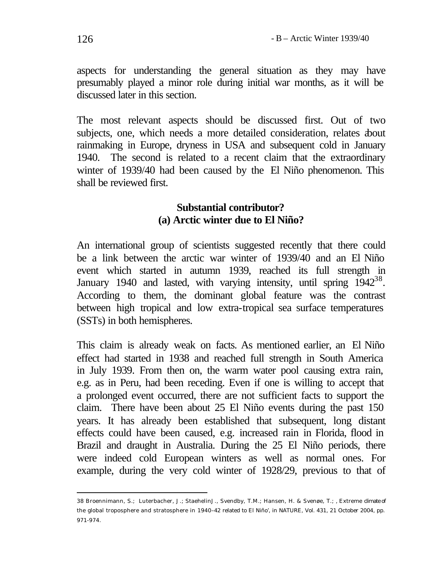aspects for understanding the general situation as they may have presumably played a minor role during initial war months, as it will be discussed later in this section.

The most relevant aspects should be discussed first. Out of two subjects, one, which needs a more detailed consideration, relates about rainmaking in Europe, dryness in USA and subsequent cold in January 1940. The second is related to a recent claim that the extraordinary winter of 1939/40 had been caused by the El Niño phenomenon. This shall be reviewed first.

### **Substantial contributor? (a) Arctic winter due to El Niño?**

An international group of scientists suggested recently that there could be a link between the arctic war winter of 1939/40 and an El Niño event which started in autumn 1939, reached its full strength in January 1940 and lasted, with varying intensity, until spring  $1942^{38}$ . According to them, the dominant global feature was the contrast between high tropical and low extra-tropical sea surface temperatures (SSTs) in both hemispheres.

This claim is already weak on facts. As mentioned earlier, an El Niño effect had started in 1938 and reached full strength in South America in July 1939. From then on, the warm water pool causing extra rain, e.g. as in Peru, had been receding. Even if one is willing to accept that a prolonged event occurred, there are not sufficient facts to support the claim. There have been about 25 El Niño events during the past 150 years. It has already been established that subsequent, long distant effects could have been caused, e.g. increased rain in Florida, flood in Brazil and draught in Australia. During the 25 El Niño periods, there were indeed cold European winters as well as normal ones. For example, during the very cold winter of 1928/29, previous to that of

<sup>38</sup> Broennimann, S.; Luterbacher, J.; StaehelinJ., Svendby, T.M.; Hansen, H. & Svenøe, T.; ' Extreme climate of the global troposphere and stratosphere in 1940–42 related to El Niño', in NATURE, Vol. 431, 21 October 2004, pp. 971-974.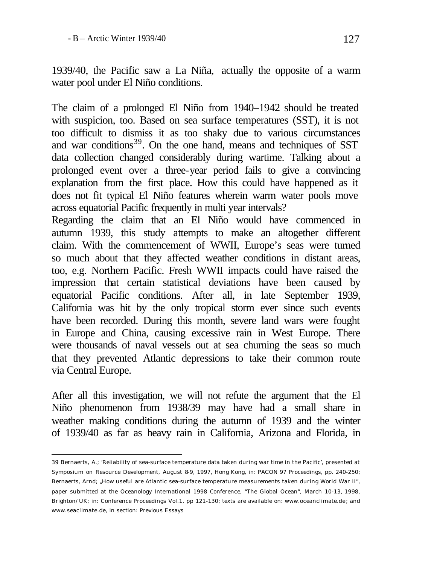l

1939/40, the Pacific saw a La Niña, actually the opposite of a warm water pool under El Niño conditions.

The claim of a prolonged El Niño from 1940–1942 should be treated with suspicion, too. Based on sea surface temperatures (SST), it is not too difficult to dismiss it as too shaky due to various circumstances and war conditions<sup>39</sup>. On the one hand, means and techniques of SST data collection changed considerably during wartime. Talking about a prolonged event over a three-year period fails to give a convincing explanation from the first place. How this could have happened as it does not fit typical El Niño features wherein warm water pools move across equatorial Pacific frequently in multi year intervals?

Regarding the claim that an El Niño would have commenced in autumn 1939, this study attempts to make an altogether different claim. With the commencement of WWII, Europe's seas were turned so much about that they affected weather conditions in distant areas, too, e.g. Northern Pacific. Fresh WWII impacts could have raised the impression that certain statistical deviations have been caused by equatorial Pacific conditions. After all, in late September 1939, California was hit by the only tropical storm ever since such events have been recorded. During this month, severe land wars were fought in Europe and China, causing excessive rain in West Europe. There were thousands of naval vessels out at sea churning the seas so much that they prevented Atlantic depressions to take their common route via Central Europe.

After all this investigation, we will not refute the argument that the El Niño phenomenon from 1938/39 may have had a small share in weather making conditions during the autumn of 1939 and the winter of 1939/40 as far as heavy rain in California, Arizona and Florida, in

<sup>39</sup> Bernaerts, A.; 'Reliability of sea-surface temperature data taken during war time in the Pacific', presented at Symposium on Resource Development, August 8-9, 1997, Hong Kong, in: PACON 97 Proceedings, pp. 240-250; Bernaerts, Arnd; "How useful are Atlantic sea-surface temperature measurements taken during World War II", paper submitted at the Oceanology International 1998 Conference, "The Global Ocean", March 10-13, 1998, Brighton/UK; in: Conference Proceedings Vol.1, pp 121-130; texts are available on: www.oceanclimate.de ; and www.seaclimate.de, in section: Previous Essays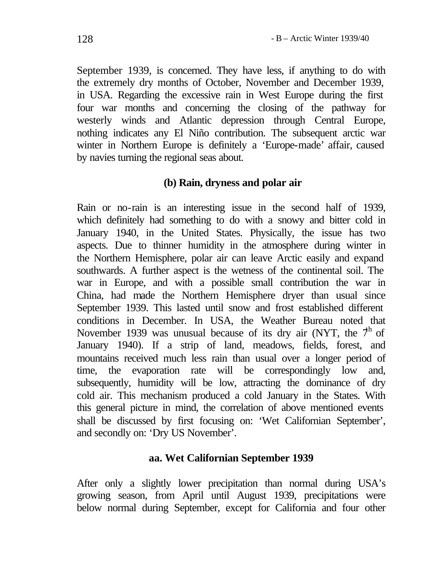September 1939, is concerned. They have less, if anything to do with the extremely dry months of October, November and December 1939, in USA. Regarding the excessive rain in West Europe during the first four war months and concerning the closing of the pathway for westerly winds and Atlantic depression through Central Europe, nothing indicates any El Niño contribution. The subsequent arctic war winter in Northern Europe is definitely a 'Europe-made' affair, caused by navies turning the regional seas about.

### **(b) Rain, dryness and polar air**

Rain or no-rain is an interesting issue in the second half of 1939, which definitely had something to do with a snowy and bitter cold in January 1940, in the United States. Physically, the issue has two aspects. Due to thinner humidity in the atmosphere during winter in the Northern Hemisphere, polar air can leave Arctic easily and expand southwards. A further aspect is the wetness of the continental soil. The war in Europe, and with a possible small contribution the war in China, had made the Northern Hemisphere dryer than usual since September 1939. This lasted until snow and frost established different conditions in December. In USA, the Weather Bureau noted that November 1939 was unusual because of its dry air (NYT, the  $7<sup>h</sup>$  of January 1940). If a strip of land, meadows, fields, forest, and mountains received much less rain than usual over a longer period of time, the evaporation rate will be correspondingly low and, subsequently, humidity will be low, attracting the dominance of dry cold air. This mechanism produced a cold January in the States. With this general picture in mind, the correlation of above mentioned events shall be discussed by first focusing on: 'Wet Californian September', and secondly on: 'Dry US November'.

### **aa. Wet Californian September 1939**

After only a slightly lower precipitation than normal during USA's growing season, from April until August 1939, precipitations were below normal during September, except for California and four other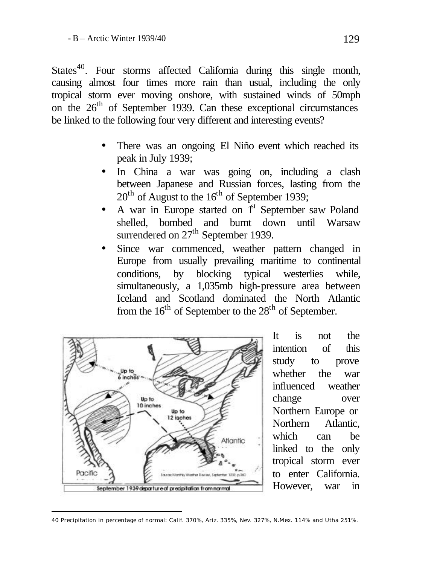States $^{40}$ . Four storms affected California during this single month, causing almost four times more rain than usual, including the only tropical storm ever moving onshore, with sustained winds of 50mph on the  $26<sup>th</sup>$  of September 1939. Can these exceptional circumstances be linked to the following four very different and interesting events?

- There was an ongoing El Niño event which reached its peak in July 1939;
- In China a war was going on, including a clash between Japanese and Russian forces, lasting from the  $20<sup>th</sup>$  of August to the  $16<sup>th</sup>$  of September 1939;
- A war in Europe started on  $I<sup>st</sup>$  September saw Poland shelled, bombed and burnt down until Warsaw surrendered on 27<sup>th</sup> September 1939.
- Since war commenced, weather pattern changed in Europe from usually prevailing maritime to continental conditions, by blocking typical westerlies while, simultaneously, a 1,035mb high-pressure area between Iceland and Scotland dominated the North Atlantic from the  $16<sup>th</sup>$  of September to the  $28<sup>th</sup>$  of September.



l

It is not the intention of this study to prove whether the war influenced weather change over Northern Europe or Northern Atlantic, which can be linked to the only tropical storm ever to enter California. However, war in

<sup>40</sup> Precipitation in percentage of normal: Calif. 370%, Ariz. 335%, Nev. 327%, N.Mex. 114% and Utha 251%.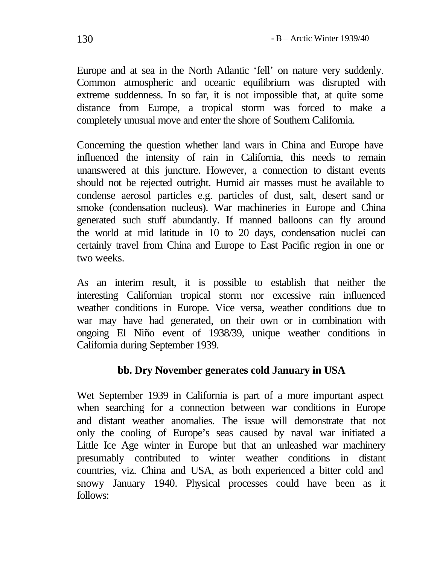Europe and at sea in the North Atlantic 'fell' on nature very suddenly. Common atmospheric and oceanic equilibrium was disrupted with extreme suddenness. In so far, it is not impossible that, at quite some distance from Europe, a tropical storm was forced to make a completely unusual move and enter the shore of Southern California.

Concerning the question whether land wars in China and Europe have influenced the intensity of rain in California, this needs to remain unanswered at this juncture. However, a connection to distant events should not be rejected outright. Humid air masses must be available to condense aerosol particles e.g. particles of dust, salt, desert sand or smoke (condensation nucleus). War machineries in Europe and China generated such stuff abundantly. If manned balloons can fly around the world at mid latitude in 10 to 20 days, condensation nuclei can certainly travel from China and Europe to East Pacific region in one or two weeks.

As an interim result, it is possible to establish that neither the interesting Californian tropical storm nor excessive rain influenced weather conditions in Europe. Vice versa, weather conditions due to war may have had generated, on their own or in combination with ongoing El Niño event of 1938/39, unique weather conditions in California during September 1939.

### **bb. Dry November generates cold January in USA**

Wet September 1939 in California is part of a more important aspect when searching for a connection between war conditions in Europe and distant weather anomalies. The issue will demonstrate that not only the cooling of Europe's seas caused by naval war initiated a Little Ice Age winter in Europe but that an unleashed war machinery presumably contributed to winter weather conditions in distant countries, viz. China and USA, as both experienced a bitter cold and snowy January 1940. Physical processes could have been as it follows: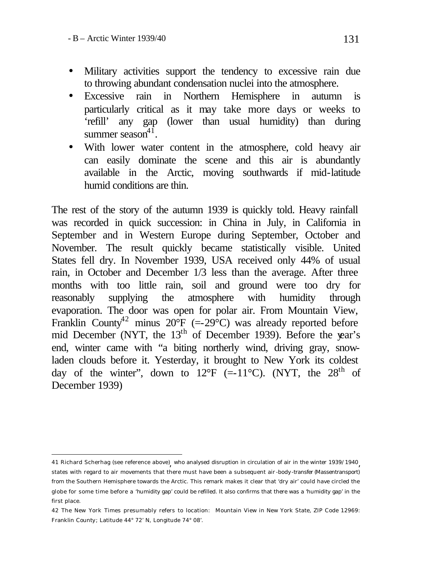- Military activities support the tendency to excessive rain due to throwing abundant condensation nuclei into the atmosphere.
- Excessive rain in Northern Hemisphere in autumn is particularly critical as it may take more days or weeks to 'refill' any gap (lower than usual humidity) than during summer season $4\overline{1}$ .
- With lower water content in the atmosphere, cold heavy air can easily dominate the scene and this air is abundantly available in the Arctic, moving southwards if mid-latitude humid conditions are thin.

The rest of the story of the autumn 1939 is quickly told. Heavy rainfall was recorded in quick succession: in China in July, in California in September and in Western Europe during September, October and November. The result quickly became statistically visible. United States fell dry. In November 1939, USA received only 44% of usual rain, in October and December 1/3 less than the average. After three months with too little rain, soil and ground were too dry for reasonably supplying the atmosphere with humidity through evaporation. The door was open for polar air. From Mountain View, Franklin County<sup>42</sup> minus  $20^{\circ}F$  (=-29<sup> $\circ$ </sup>C) was already reported before mid December (NYT, the  $13<sup>th</sup>$  of December 1939). Before the year's end, winter came with "a biting northerly wind, driving gray, snowladen clouds before it. Yesterday, it brought to New York its coldest day of the winter", down to 12°F (=-11°C). (NYT, the  $28<sup>th</sup>$  of December 1939)

l 41 Richard Scherhag (see reference above) , who analysed disruption in circulation of air in the winter 1939/1940, states with regard to air movements that there must have been a subsequent air -body-transfer (Massentransport) from the Southern Hemisphere towards the Arctic. This remark makes it clear that 'dry air' could have circled the globe for some time before a 'humidity gap' could be refilled. It also confirms that there was a 'humidity gap' in the first place.

<sup>42</sup> The New York Times presumably refers to location: Mountain View in New York State, ZIP Code 12969: Franklin County; Latitude 44° 72' N, Longitude 74° 08'.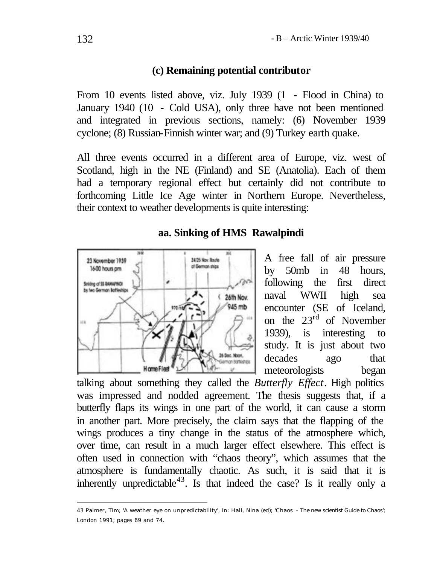#### **(c) Remaining potential contributor**

From 10 events listed above, viz. July 1939 (1 - Flood in China) to January 1940 (10 - Cold USA), only three have not been mentioned and integrated in previous sections, namely: (6) November 1939 cyclone; (8) Russian-Finnish winter war; and (9) Turkey earth quake.

All three events occurred in a different area of Europe, viz. west of Scotland, high in the NE (Finland) and SE (Anatolia). Each of them had a temporary regional effect but certainly did not contribute to forthcoming Little Ice Age winter in Northern Europe. Nevertheless, their context to weather developments is quite interesting:

#### **aa. Sinking of HMS Rawalpindi**



A free fall of air pressure by 50mb in 48 hours, following the first direct naval WWII high sea encounter (SE of Iceland, on the 23rd of November 1939), is interesting to study. It is just about two decades ago that meteorologists began

talking about something they called the *Butterfly Effect*. High politics was impressed and nodded agreement. The thesis suggests that, if a butterfly flaps its wings in one part of the world, it can cause a storm in another part. More precisely, the claim says that the flapping of the wings produces a tiny change in the status of the atmosphere which, over time, can result in a much larger effect elsewhere. This effect is often used in connection with "chaos theory", which assumes that the atmosphere is fundamentally chaotic. As such, it is said that it is inherently unpredictable<sup>43</sup>. Is that indeed the case? Is it really only a

<sup>43</sup> Palmer, Tim; 'A weather eye on unpredictability', in: Hall, Nina (ed); 'Chaos – The new scientist Guide to Chaos'; London 1991; pages 69 and 74.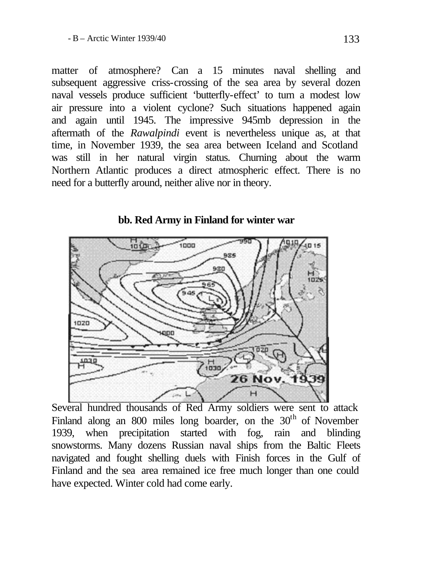matter of atmosphere? Can a 15 minutes naval shelling and subsequent aggressive criss-crossing of the sea area by several dozen naval vessels produce sufficient 'butterfly-effect' to turn a modest low air pressure into a violent cyclone? Such situations happened again and again until 1945. The impressive 945mb depression in the aftermath of the *Rawalpindi* event is nevertheless unique as, at that time, in November 1939, the sea area between Iceland and Scotland was still in her natural virgin status. Churning about the warm Northern Atlantic produces a direct atmospheric effect. There is no need for a butterfly around, neither alive nor in theory.



**bb. Red Army in Finland for winter war**

Several hundred thousands of Red Army soldiers were sent to attack Finland along an 800 miles long boarder, on the 30<sup>th</sup> of November 1939, when precipitation started with fog, rain and blinding snowstorms. Many dozens Russian naval ships from the Baltic Fleets navigated and fought shelling duels with Finish forces in the Gulf of Finland and the sea area remained ice free much longer than one could have expected. Winter cold had come early.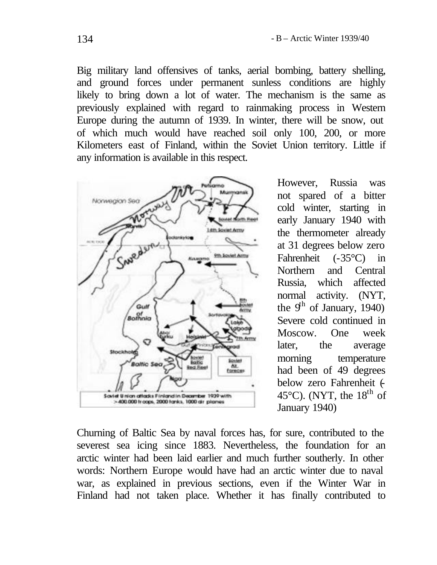Big military land offensives of tanks, aerial bombing, battery shelling, and ground forces under permanent sunless conditions are highly likely to bring down a lot of water. The mechanism is the same as previously explained with regard to rainmaking process in Western Europe during the autumn of 1939. In winter, there will be snow, out of which much would have reached soil only 100, 200, or more Kilometers east of Finland, within the Soviet Union territory. Little if any information is available in this respect.



However, Russia was not spared of a bitter cold winter, starting in early January 1940 with the thermometer already at 31 degrees below zero Fahrenheit (-35°C) in Northern and Central Russia, which affected normal activity. (NYT, the  $9^{\text{th}}$  of January, 1940) Severe cold continued in Moscow. One week later, the average morning temperature had been of 49 degrees below zero Fahrenheit (-45 $^{\circ}$ C). (NYT, the 18<sup>th</sup> of January 1940)

Churning of Baltic Sea by naval forces has, for sure, contributed to the severest sea icing since 1883. Nevertheless, the foundation for an arctic winter had been laid earlier and much further southerly. In other words: Northern Europe would have had an arctic winter due to naval war, as explained in previous sections, even if the Winter War in Finland had not taken place. Whether it has finally contributed to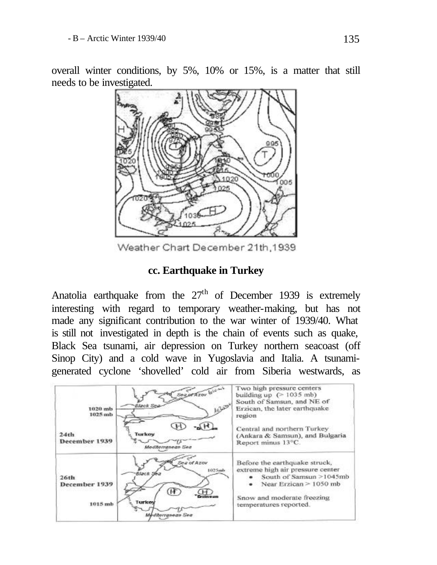overall winter conditions, by 5%, 10% or 15%, is a matter that still needs to be investigated.



Weather Chart December 21th, 1939

### **cc. Earthquake in Turkey**

Anatolia earthquake from the  $27<sup>th</sup>$  of December 1939 is extremely interesting with regard to temporary weather-making, but has not made any significant contribution to the war winter of 1939/40. What is still not investigated in depth is the chain of events such as quake, Black Sea tsunami, air depression on Turkey northern seacoast (off Sinop City) and a cold wave in Yugoslavia and Italia. A tsunamigenerated cyclone 'shovelled' cold air from Siberia westwards, as

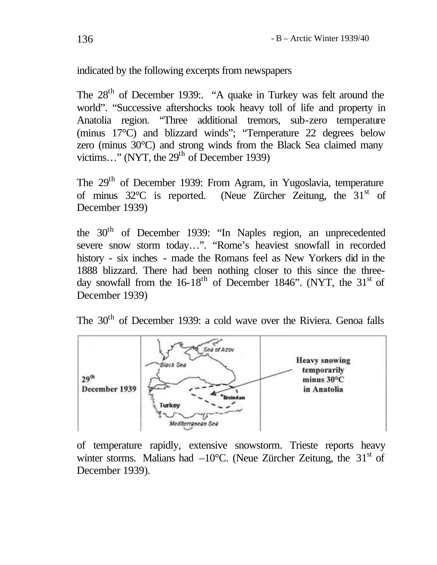indicated by the following excerpts from newspapers

The 28<sup>th</sup> of December 1939:. "A quake in Turkey was felt around the world". "Successive aftershocks took heavy toll of life and property in Anatolia region. "Three additional tremors, sub-zero temperature (minus 17°C) and blizzard winds"; "Temperature 22 degrees below zero (minus 30°C) and strong winds from the Black Sea claimed many victims..." (NYT, the  $29<sup>th</sup>$  of December 1939)

The 29<sup>th</sup> of December 1939: From Agram, in Yugoslavia, temperature of minus  $32^{\circ}$ C is reported. (Neue Zürcher Zeitung, the  $31^{\text{st}}$  of December 1939)

the 30<sup>th</sup> of December 1939: "In Naples region, an unprecedented severe snow storm today…". "Rome's heaviest snowfall in recorded history - six inches - made the Romans feel as New Yorkers did in the 1888 blizzard. There had been nothing closer to this since the threeday snowfall from the  $16-18^{th}$  of December 1846". (NYT, the  $31<sup>st</sup>$  of December 1939)





of temperature rapidly, extensive snowstorm. Trieste reports heavy winter storms. Malians had  $-10^{\circ}$ C. (Neue Zürcher Zeitung, the 31<sup>st</sup> of December 1939).